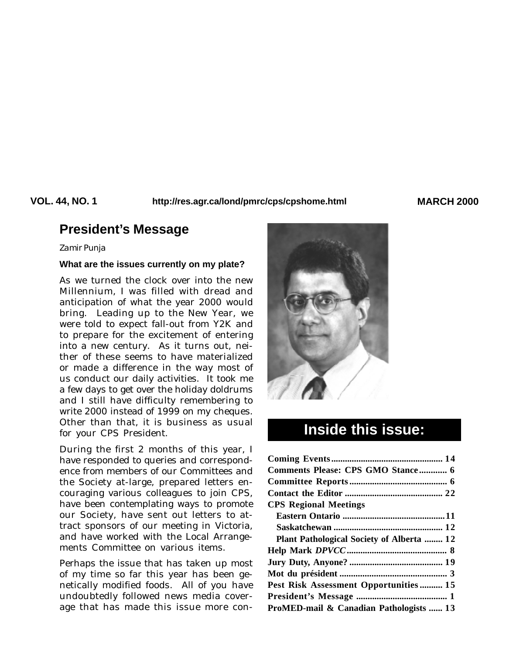**VOL. 44, NO. 1 MARCH 2000 http://res.agr.ca/lond/pmrc/cps/cpshome.html**

# **President's Message**

#### *Zamir Punja*

#### **What are the issues currently on my plate?**

As we turned the clock over into the new Millennium, I was filled with dread and anticipation of what the year 2000 would bring. Leading up to the New Year, we were told to expect fall-out from Y2K and to prepare for the excitement of entering into a new century. As it turns out, neither of these seems to have materialized or made a difference in the way most of us conduct our daily activities. It took me a few days to get over the holiday doldrums and I still have difficulty remembering to write 2000 instead of 1999 on my cheques. Other than that, it is business as usual for your CPS President.

During the first 2 months of this year, I have responded to queries and correspondence from members of our Committees and the Society at-large, prepared letters encouraging various colleagues to join CPS, have been contemplating ways to promote our Society, have sent out letters to attract sponsors of our meeting in Victoria, and have worked with the Local Arrangements Committee on various items.

Perhaps the issue that has taken up most of my time so far this year has been genetically modified foods. All of you have undoubtedly followed news media coverage that has made this issue more con-



# **Inside this issue:**

| Comments Please: CPS GMO Stance 6         |  |
|-------------------------------------------|--|
|                                           |  |
|                                           |  |
| <b>CPS Regional Meetings</b>              |  |
|                                           |  |
|                                           |  |
| Plant Pathological Society of Alberta  12 |  |
|                                           |  |
|                                           |  |
|                                           |  |
| Pest Risk Assessment Opportunities 15     |  |
|                                           |  |
| ProMED-mail & Canadian Pathologists  13   |  |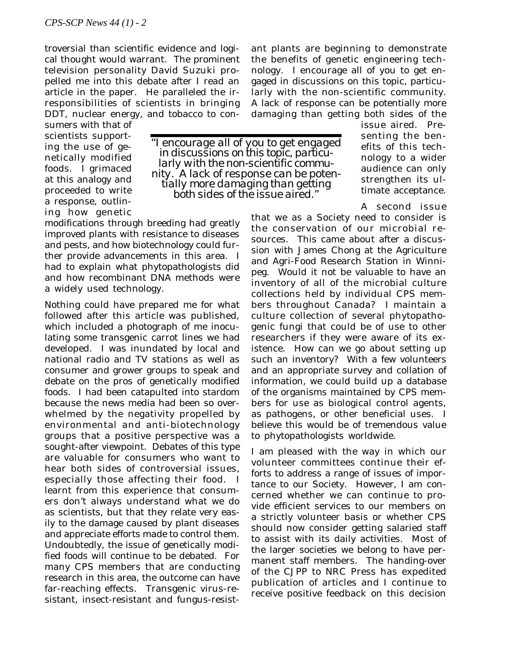troversial than scientific evidence and logical thought would warrant. The prominent television personality David Suzuki propelled me into this debate after I read an article in the paper. He paralleled the irresponsibilities of scientists in bringing DDT, nuclear energy, and tobacco to con-

sumers with that of scientists supporting the use of genetically modified foods. I grimaced at this analogy and proceeded to write a response, outlining how genetic

*"I encourage all of you to get engaged in discussions on this topic, particularly with the non-scientific community. A lack of response can be potentially more damaging than getting both sides of the issue aired."*

damaging than getting both sides of the issue aired. Presenting the benefits of this technology to a wider audience can only strengthen its ultimate acceptance.

A second issue

that we as a Society need to consider is the conservation of our microbial resources. This came about after a discussion with James Chong at the Agriculture and Agri-Food Research Station in Winnipeg. Would it not be valuable to have an inventory of all of the microbial culture collections held by individual CPS members throughout Canada? I maintain a culture collection of several phytopathogenic fungi that could be of use to other researchers if they were aware of its existence. How can we go about setting up such an inventory? With a few volunteers and an appropriate survey and collation of information, we could build up a database of the organisms maintained by CPS members for use as biological control agents, as pathogens, or other beneficial uses. I believe this would be of tremendous value to phytopathologists worldwide.

ant plants are beginning to demonstrate the benefits of genetic engineering technology. I encourage all of you to get engaged in discussions on this topic, particularly with the non-scientific community. A lack of response can be potentially more

I am pleased with the way in which our volunteer committees continue their efforts to address a range of issues of importance to our Society. However, I am concerned whether we can continue to provide efficient services to our members on a strictly volunteer basis or whether CPS should now consider getting salaried staff to assist with its daily activities. Most of the larger societies we belong to have permanent staff members. The handing-over of the *CJPP* to NRC Press has expedited publication of articles and I continue to receive positive feedback on this decision

modifications through breeding had greatly improved plants with resistance to diseases and pests, and how biotechnology could further provide advancements in this area. I had to explain what phytopathologists did and how recombinant DNA methods were a widely used technology.

Nothing could have prepared me for what followed after this article was published, which included a photograph of me inoculating some transgenic carrot lines we had developed. I was inundated by local and national radio and TV stations as well as consumer and grower groups to speak and debate on the pros of genetically modified foods. I had been catapulted into stardom because the news media had been so overwhelmed by the negativity propelled by environmental and anti-biotechnology groups that a positive perspective was a sought-after viewpoint. Debates of this type are valuable for consumers who want to hear both sides of controversial issues, especially those affecting their food. I learnt from this experience that consumers don't always understand what we do as scientists, but that they relate very easily to the damage caused by plant diseases and appreciate efforts made to control them. Undoubtedly, the issue of genetically modified foods will continue to be debated. For many CPS members that are conducting research in this area, the outcome can have far-reaching effects. Transgenic virus-resistant, insect-resistant and fungus-resist-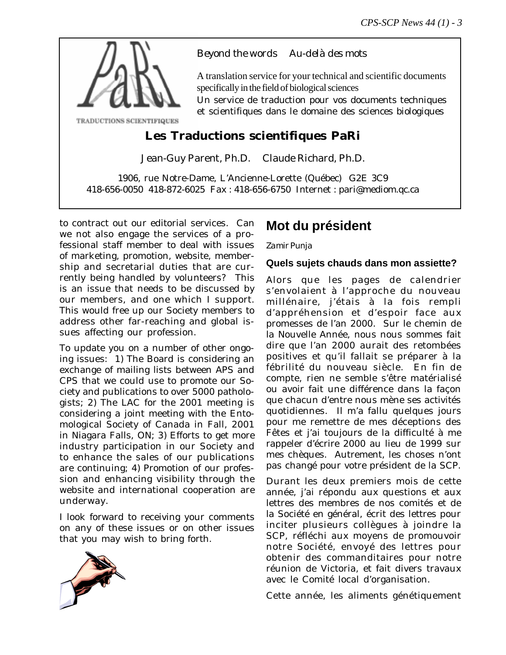

## *Beyond the words Au-delà des mots*

A translation service for your technical and scientific documents specifically in the field of biological sciences

Un service de traduction pour vos documents techniques et scientifiques dans le domaine des sciences biologiques

# **Les Traductions scientifiques PaRi**

Jean-Guy Parent, Ph.D. Claude Richard, Ph.D.

1906, rue Notre-Dame, L'Ancienne-Lorette (Québec) G2E 3C9 418-656-0050 418-872-6025 Fax : 418-656-6750 Internet : pari@mediom.qc.ca

to contract out our editorial services. Can we not also engage the services of a professional staff member to deal with issues of marketing, promotion, website, membership and secretarial duties that are currently being handled by volunteers? This is an issue that needs to be discussed by our members, and one which I support. This would free up our Society members to address other far-reaching and global issues affecting our profession.

To update you on a number of other ongoing issues: 1) The Board is considering an exchange of mailing lists between APS and CPS that we could use to promote our Society and publications to over 5000 pathologists; 2) The LAC for the 2001 meeting is considering a joint meeting with the Entomological Society of Canada in Fall, 2001 in Niagara Falls, ON; 3) Efforts to get more industry participation in our Society and to enhance the sales of our publications are continuing; 4) Promotion of our profession and enhancing visibility through the website and international cooperation are underway.

I look forward to receiving your comments on any of these issues or on other issues that you may wish to bring forth.



# **Mot du président**

### *Zamir Punja*

### **Quels sujets chauds dans mon assiette?**

Alors que les pages de calendrier s'envolaient à l'approche du nouveau millénaire, j'étais à la fois rempli d'appréhension et d'espoir face aux promesses de l'an 2000. Sur le chemin de la Nouvelle Année, nous nous sommes fait dire que l'an 2000 aurait des retombées positives et qu'il fallait se préparer à la fébrilité du nouveau siècle. En fin de compte, rien ne semble s'être matérialisé ou avoir fait une différence dans la façon que chacun d'entre nous mène ses activités quotidiennes. Il m'a fallu quelques jours pour me remettre de mes déceptions des Fêtes et j'ai toujours de la difficulté à me rappeler d'écrire 2000 au lieu de 1999 sur mes chèques. Autrement, les choses n'ont pas changé pour votre président de la SCP.

Durant les deux premiers mois de cette année, j'ai répondu aux questions et aux lettres des membres de nos comités et de la Société en général, écrit des lettres pour inciter plusieurs collègues à joindre la SCP, réfléchi aux moyens de promouvoir notre Société, envoyé des lettres pour obtenir des commanditaires pour notre réunion de Victoria, et fait divers travaux avec le Comité local d'organisation.

Cette année, les aliments génétiquement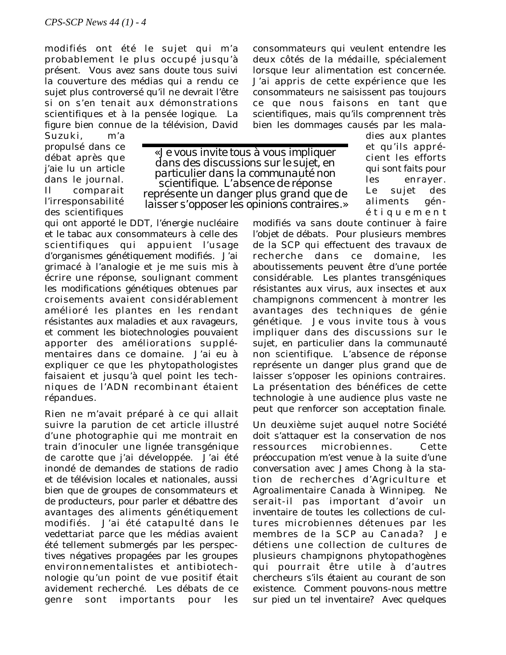modifiés ont été le sujet qui m'a probablement le plus occupé jusqu'à présent. Vous avez sans doute tous suivi la couverture des médias qui a rendu ce sujet plus controversé qu'il ne devrait l'être si on s'en tenait aux démonstrations scientifiques et à la pensée logique. La figure bien connue de la télévision, David

Suzuki, m'a propulsé dans ce débat après que j'aie lu un article dans le journal. Il comparait l'irresponsabilité des scientifiques

*« Je vous invite tous à vous impliquer dans des discussions sur le sujet, en particulier dans la communauté non scientifique. L'absence de réponse représente un danger plus grand que de laisser s'opposer les opinions contraires.»*

qui ont apporté le DDT, l'énergie nucléaire et le tabac aux consommateurs à celle des scientifiques qui appuient l'usage d'organismes génétiquement modifiés. J'ai grimacé à l'analogie et je me suis mis à écrire une réponse, soulignant comment les modifications génétiques obtenues par croisements avaient considérablement amélioré les plantes en les rendant résistantes aux maladies et aux ravageurs, et comment les biotechnologies pouvaient apporter des améliorations supplémentaires dans ce domaine. J'ai eu à expliquer ce que les phytopathologistes faisaient et jusqu'à quel point les techniques de l'ADN recombinant étaient répandues.

Rien ne m'avait préparé à ce qui allait suivre la parution de cet article illustré d'une photographie qui me montrait en train d'inoculer une lignée transgénique de carotte que j'ai développée. J'ai été inondé de demandes de stations de radio et de télévision locales et nationales, aussi bien que de groupes de consommateurs et de producteurs, pour parler et débattre des avantages des aliments génétiquement modifiés. J'ai été catapulté dans le vedettariat parce que les médias avaient été tellement submergés par les perspectives négatives propagées par les groupes environnementalistes et antibiotechnologie qu'un point de vue positif était avidement recherché. Les débats de ce genre sont importants pour les

consommateurs qui veulent entendre les deux côtés de la médaille, spécialement lorsque leur alimentation est concernée. J'ai appris de cette expérience que les consommateurs ne saisissent pas toujours ce que nous faisons en tant que scientifiques, mais qu'ils comprennent très bien les dommages causés par les mala-

> dies aux plantes et qu'ils apprécient les efforts qui sont faits pour les enrayer. Le sujet des aliments génétiquement

modifiés va sans doute continuer à faire l'objet de débats. Pour plusieurs membres de la SCP qui effectuent des travaux de recherche dans ce domaine, les aboutissements peuvent être d'une portée considérable. Les plantes transgéniques résistantes aux virus, aux insectes et aux champignons commencent à montrer les avantages des techniques de génie génétique. Je vous invite tous à vous impliquer dans des discussions sur le sujet, en particulier dans la communauté non scientifique. L'absence de réponse représente un danger plus grand que de laisser s'opposer les opinions contraires. La présentation des bénéfices de cette technologie à une audience plus vaste ne peut que renforcer son acceptation finale.

Un deuxième sujet auquel notre Société doit s'attaquer est la conservation de nos ressources microbiennes. Cette préoccupation m'est venue à la suite d'une conversation avec James Chong à la station de recherches d'Agriculture et Agroalimentaire Canada à Winnipeg. Ne serait-il pas important d'avoir un inventaire de toutes les collections de cultures microbiennes détenues par les membres de la SCP au Canada? Je détiens une collection de cultures de plusieurs champignons phytopathogènes qui pourrait être utile à d'autres chercheurs s'ils étaient au courant de son existence. Comment pouvons-nous mettre sur pied un tel inventaire? Avec quelques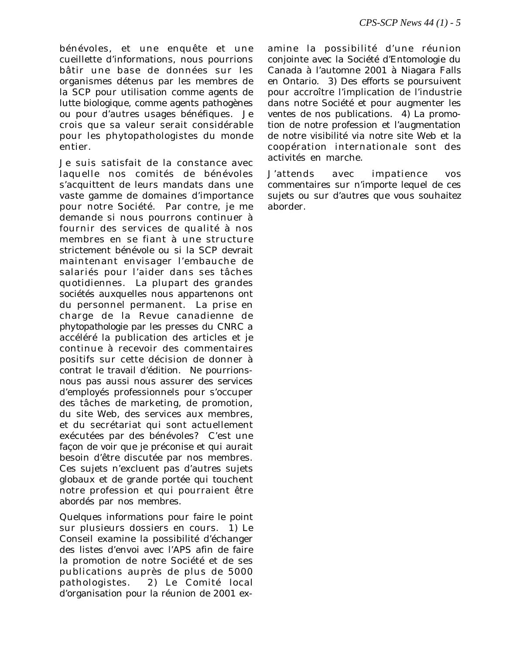bénévoles, et une enquête et une cueillette d'informations, nous pourrions bâtir une base de données sur les organismes détenus par les membres de la SCP pour utilisation comme agents de lutte biologique, comme agents pathogènes ou pour d'autres usages bénéfiques. Je crois que sa valeur serait considérable pour les phytopathologistes du monde entier.

Je suis satisfait de la constance avec laquelle nos comités de bénévoles s'acquittent de leurs mandats dans une vaste gamme de domaines d'importance pour notre Société. Par contre, je me demande si nous pourrons continuer à fournir des services de qualité à nos membres en se fiant à une structure strictement bénévole ou si la SCP devrait maintenant envisager l'embauche de salariés pour l'aider dans ses tâches quotidiennes. La plupart des grandes sociétés auxquelles nous appartenons ont du personnel permanent. La prise en charge de la *Revue canadienne de phytopathologie* par les presses du CNRC a accéléré la publication des articles et je continue à recevoir des commentaires positifs sur cette décision de donner à contrat le travail d'édition. Ne pourrionsnous pas aussi nous assurer des services d'employés professionnels pour s'occuper des tâches de marketing, de promotion, du site Web, des services aux membres, et du secrétariat qui sont actuellement exécutées par des bénévoles? C'est une façon de voir que je préconise et qui aurait besoin d'être discutée par nos membres. Ces sujets n'excluent pas d'autres sujets globaux et de grande portée qui touchent notre profession et qui pourraient être abordés par nos membres.

Quelques informations pour faire le point sur plusieurs dossiers en cours. 1) Le Conseil examine la possibilité d'échanger des listes d'envoi avec l'APS afin de faire la promotion de notre Société et de ses publications auprès de plus de 5000 pathologistes. 2) Le Comité local d'organisation pour la réunion de 2001 ex-

amine la possibilité d'une réunion conjointe avec la Société d'Entomologie du Canada à l'automne 2001 à Niagara Falls en Ontario. 3) Des efforts se poursuivent pour accroître l'implication de l'industrie dans notre Société et pour augmenter les ventes de nos publications. 4) La promotion de notre profession et l'augmentation de notre visibilité via notre site Web et la coopération internationale sont des activités en marche.

J'attends avec impatience vos commentaires sur n'importe lequel de ces sujets ou sur d'autres que vous souhaitez aborder.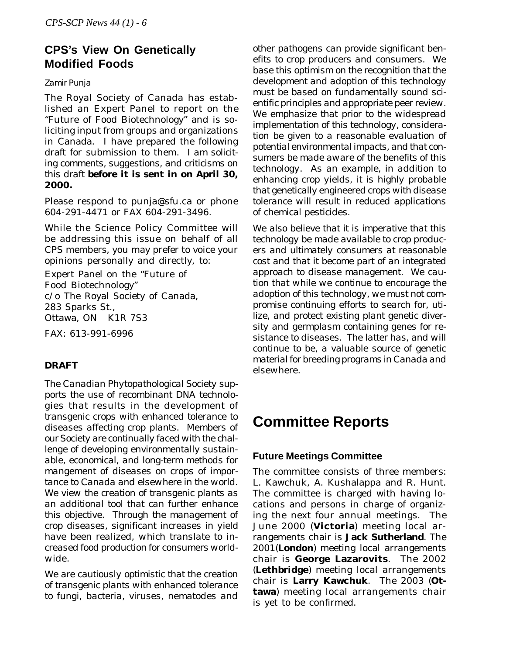# **CPS's View On Genetically Modified Foods**

#### *Zamir Punja*

The Royal Society of Canada has established an Expert Panel to report on the "Future of Food Biotechnology" and is soliciting input from groups and organizations in Canada. I have prepared the following draft for submission to them. *I am soliciting comments, suggestions, and criticisms on this draft* **before it is sent in on April 30, 2000.**

Please respond to punja@sfu.ca or phone 604-291-4471 or FAX 604-291-3496.

While the Science Policy Committee will be addressing this issue on behalf of all CPS members, you may prefer to voice your opinions personally and directly, to:

Expert Panel on the "Future of Food Biotechnology" c/o The Royal Society of Canada, 283 Sparks St., Ottawa, ON K1R 7S3

FAX: 613-991-6996

#### *DRAFT*

*The Canadian Phytopathological Society supports the use of recombinant DNA technologies that results in the development of transgenic crops with enhanced tolerance to diseases affecting crop plants. Members of our Society are continually faced with the challenge of developing environmentally sustainable, economical, and long-term methods for mangement of diseases on crops of importance to Canada and elsewhere in the world. We view the creation of transgenic plants as an additional tool that can further enhance this objective. Through the management of crop diseases, significant increases in yield have been realized, which translate to increased food production for consumers worldwide.*

*We are cautiously optimistic that the creation of transgenic plants with enhanced tolerance to fungi, bacteria, viruses, nematodes and* *other pathogens can provide significant benefits to crop producers and consumers. We base this optimism on the recognition that the development and adoption of this technology must be based on fundamentally sound scientific principles and appropriate peer review. We emphasize that prior to the widespread implementation of this technology, consideration be given to a reasonable evaluation of potential environmental impacts, and that consumers be made aware of the benefits of this technology. As an example, in addition to enhancing crop yields, it is highly probable that genetically engineered crops with disease tolerance will result in reduced applications of chemical pesticides.*

*We also believe that it is imperative that this technology be made available to crop producers and ultimately consumers at reasonable cost and that it become part of an integrated approach to disease management. We caution that while we continue to encourage the adoption of this technology, we must not compromise continuing efforts to search for, utilize, and protect existing plant genetic diversity and germplasm containing genes for resistance to diseases. The latter has, and will continue to be, a valuable source of genetic material for breeding programs in Canada and elsewhere.*

# **Committee Reports**

#### **Future Meetings Committee**

The committee consists of three members: L. Kawchuk, A. Kushalappa and R. Hunt. The committee is charged with having locations and persons in charge of organizing the next four annual meetings. The June 2000 (**Victoria**) meeting local arrangements chair is **Jack Sutherland**. The 2001(**London**) meeting local arrangements chair is **George Lazarovits**. The 2002 (**Lethbridge**) meeting local arrangements chair is **Larry Kawchuk**. The 2003 (**Ottawa**) meeting local arrangements chair is yet to be confirmed.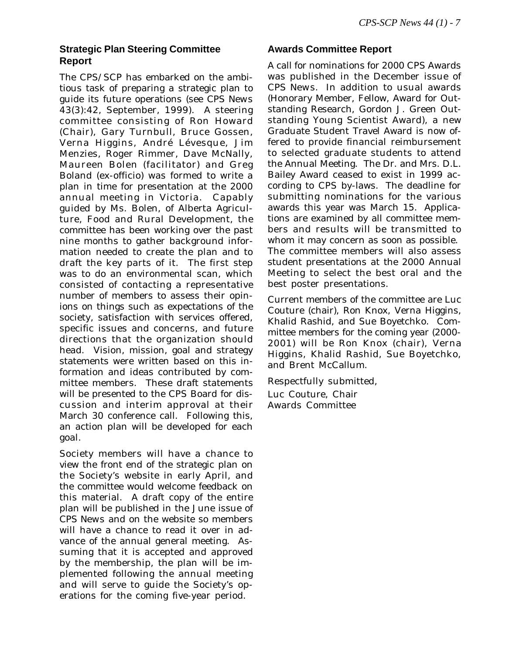### **Strategic Plan Steering Committee Report**

The CPS/SCP has embarked on the ambitious task of preparing a strategic plan to guide its future operations (see *CPS News* 43(3):42, September, 1999). A steering committee consisting of Ron Howard (Chair), Gary Turnbull, Bruce Gossen, Verna Higgins, André Lévesque, Jim Menzies, Roger Rimmer, Dave McNally, Maureen Bolen (facilitator) and Greg Boland (ex-officio) was formed to write a plan in time for presentation at the 2000 annual meeting in Victoria. Capably guided by Ms. Bolen, of Alberta Agriculture, Food and Rural Development, the committee has been working over the past nine months to gather background information needed to create the plan and to draft the key parts of it. The first step was to do an environmental scan, which consisted of contacting a representative number of members to assess their opinions on things such as expectations of the society, satisfaction with services offered, specific issues and concerns, and future directions that the organization should head. Vision, mission, goal and strategy statements were written based on this information and ideas contributed by committee members. These draft statements will be presented to the CPS Board for discussion and interim approval at their March 30 conference call. Following this, an action plan will be developed for each goal.

Society members will have a chance to view the front end of the strategic plan on the Society's website in early April, and the committee would welcome feedback on this material. A draft copy of the entire plan will be published in the June issue of *CPS News* and on the website so members will have a chance to read it over in advance of the annual general meeting. Assuming that it is accepted and approved by the membership, the plan will be implemented following the annual meeting and will serve to guide the Society's operations for the coming five-year period.

#### **Awards Committee Report**

A call for nominations for 2000 CPS Awards was published in the December issue of *CPS News*. In addition to usual awards (Honorary Member, Fellow, Award for Outstanding Research, Gordon J. Green Outstanding Young Scientist Award), a new Graduate Student Travel Award is now offered to provide financial reimbursement to selected graduate students to attend the Annual Meeting. The Dr. and Mrs. D.L. Bailey Award ceased to exist in 1999 according to CPS by-laws. The deadline for submitting nominations for the various awards this year was March 15. Applications are examined by all committee members and results will be transmitted to whom it may concern as soon as possible. The committee members will also assess student presentations at the 2000 Annual Meeting to select the best oral and the best poster presentations.

Current members of the committee are Luc Couture (chair), Ron Knox, Verna Higgins, Khalid Rashid, and Sue Boyetchko. Committee members for the coming year (2000- 2001) will be Ron Knox (chair), Verna Higgins, Khalid Rashid, Sue Boyetchko, and Brent McCallum.

Respectfully submitted, Luc Couture, Chair Awards Committee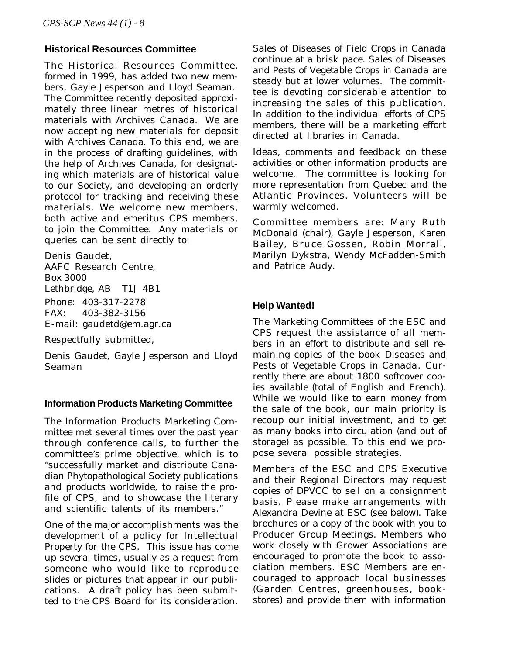#### **Historical Resources Committee**

The Historical Resources Committee, formed in 1999, has added two new members, Gayle Jesperson and Lloyd Seaman. The Committee recently deposited approximately three linear metres of historical materials with Archives Canada. We are now accepting new materials for deposit with Archives Canada. To this end, we are in the process of drafting guidelines, with the help of Archives Canada, for designating which materials are of historical value to our Society, and developing an orderly protocol for tracking and receiving these materials. We welcome new members, both active and emeritus CPS members, to join the Committee. Any materials or queries can be sent directly to:

Denis Gaudet, AAFC Research Centre, Box 3000 Lethbridge, AB T1J 4B1 Phone: 403-317-2278 FAX: 403-382-3156 E-mail: gaudetd@em.agr.ca

Respectfully submitted,

Denis Gaudet, Gayle Jesperson and Lloyd Seaman

#### **Information Products Marketing Committee**

The Information Products Marketing Committee met several times over the past year through conference calls, to further the committee's prime objective, which is to "successfully market and distribute Canadian Phytopathological Society publications and products worldwide, to raise the profile of CPS, and to showcase the literary and scientific talents of its members."

One of the major accomplishments was the development of a policy for Intellectual Property for the CPS. This issue has come up several times, usually as a request from someone who would like to reproduce slides or pictures that appear in our publications. A draft policy has been submitted to the CPS Board for its consideration.

Sales of *Diseases of Field Crops in Canada* continue at a brisk pace. Sales of *Diseases and Pests of Vegetable Crops in Canada* are steady but at lower volumes. The committee is devoting considerable attention to increasing the sales of this publication. In addition to the individual efforts of CPS members, there will be a marketing effort directed at libraries in Canada.

Ideas, comments and feedback on these activities or other information products are welcome. The committee is looking for more representation from Quebec and the Atlantic Provinces. Volunteers will be warmly welcomed.

Committee members are: Mary Ruth McDonald (chair), Gayle Jesperson, Karen Bailey, Bruce Gossen, Robin Morrall, Marilyn Dykstra, Wendy McFadden-Smith and Patrice Audy.

#### **Help Wanted!**

The Marketing Committees of the ESC and CPS request the assistance of all members in an effort to distribute and sell remaining copies of the book *Diseases and Pests of Vegetable Crops in Canada*. Currently there are about 1800 softcover copies available (total of English and French). While we would like to earn money from the sale of the book, our main priority is recoup our initial investment, and to get as many books into circulation (and out of storage) as possible. To this end we propose several possible strategies.

Members of the ESC and CPS Executive and their Regional Directors may request copies of *DPVCC* to sell on a consignment basis. Please make arrangements with Alexandra Devine at ESC (see below). Take brochures or a copy of the book with you to Producer Group Meetings. Members who work closely with Grower Associations are encouraged to promote the book to association members. ESC Members are encouraged to approach local businesses (Garden Centres, greenhouses, bookstores) and provide them with information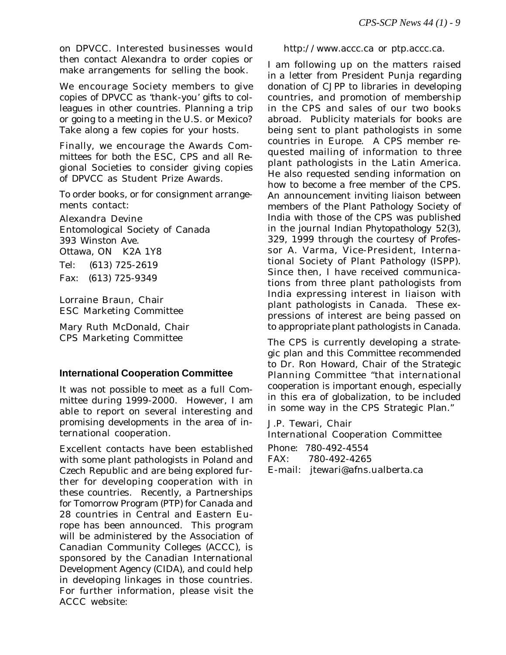on *DPVCC*. Interested businesses would then contact Alexandra to order copies or make arrangements for selling the book.

We encourage Society members to give copies of *DPVCC* as 'thank-you' gifts to colleagues in other countries. Planning a trip or going to a meeting in the U.S. or Mexico? Take along a few copies for your hosts.

Finally, we encourage the Awards Committees for both the ESC, CPS and all Regional Societies to consider giving copies of *DPVCC* as Student Prize Awards.

To order books, or for consignment arrangements contact:

Alexandra Devine Entomological Society of Canada 393 Winston Ave. Ottawa, ON K2A 1Y8 Tel: (613) 725-2619 Fax: (613) 725-9349

Lorraine Braun, Chair ESC Marketing Committee

Mary Ruth McDonald, Chair CPS Marketing Committee

#### **International Cooperation Committee**

It was not possible to meet as a full Committee during 1999-2000. However, I am able to report on several interesting and promising developments in the area of international cooperation.

Excellent contacts have been established with some plant pathologists in Poland and Czech Republic and are being explored further for developing cooperation with in these countries. Recently, a Partnerships for Tomorrow Program (PTP) for Canada and 28 countries in Central and Eastern Europe has been announced. This program will be administered by the Association of Canadian Community Colleges (ACCC), is sponsored by the Canadian International Development Agency (CIDA), and could help in developing linkages in those countries. For further information, please visit the ACCC website:

http://www.accc.ca *or* ptp.accc.ca.

I am following up on the matters raised in a letter from President Punja regarding donation of *CJPP* to libraries in developing countries, and promotion of membership in the CPS and sales of our two books abroad. Publicity materials for books are being sent to plant pathologists in some countries in Europe. A CPS member requested mailing of information to three plant pathologists in the Latin America. He also requested sending information on how to become a free member of the CPS. An announcement inviting liaison between members of the Plant Pathology Society of India with those of the CPS was published in the journal *Indian Phytopathology* 52(3), 329, 1999 through the courtesy of Professor A. Varma, Vice-President, International Society of Plant Pathology (ISPP). Since then, I have received communications from three plant pathologists from India expressing interest in liaison with plant pathologists in Canada. These expressions of interest are being passed on to appropriate plant pathologists in Canada.

The CPS is currently developing a strategic plan and this Committee recommended to Dr. Ron Howard, Chair of the Strategic Planning Committee "that international cooperation is important enough, especially in this era of globalization, to be included in some way in the CPS Strategic Plan."

J.P. Tewari, Chair International Cooperation Committee

| Phone: 780-492-4554              |
|----------------------------------|
| FAX: 780-492-4265                |
| E-mail: jtewari@afns.ualberta.ca |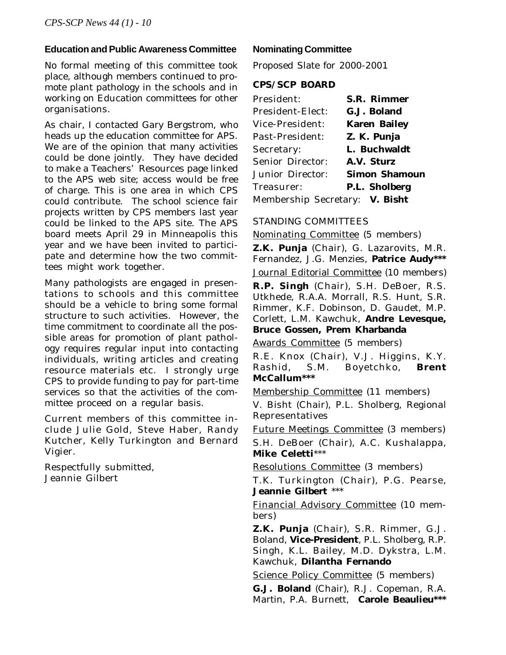#### **Education and Public Awareness Committee**

No formal meeting of this committee took place, although members continued to promote plant pathology in the schools and in working on Education committees for other organisations.

As chair, I contacted Gary Bergstrom, who heads up the education committee for APS. We are of the opinion that many activities could be done jointly. They have decided to make a Teachers' Resources page linked to the APS web site; access would be free of charge. This is one area in which CPS could contribute. The school science fair projects written by CPS members last year could be linked to the APS site. The APS board meets April 29 in Minneapolis this year and we have been invited to participate and determine how the two committees might work together.

Many pathologists are engaged in presentations to schools and this committee should be a vehicle to bring some formal structure to such activities. However, the time commitment to coordinate all the possible areas for promotion of plant pathology requires regular input into contacting individuals, writing articles and creating resource materials etc. I strongly urge CPS to provide funding to pay for part-time services so that the activities of the committee proceed on a regular basis.

Current members of this committee include Julie Gold, Steve Haber, Randy Kutcher, Kelly Turkington and Bernard Vigier.

Respectfully submitted, Jeannie Gilbert

#### **Nominating Committee**

Proposed Slate for 2000-2001

#### **CPS/SCP BOARD**

| President:                     | <b>S.R. Rimmer</b>   |
|--------------------------------|----------------------|
| <b>President-Elect:</b>        | G.J. Boland          |
| Vice-President:                | <b>Karen Bailey</b>  |
| Past-President:                | Z. K. Punja          |
| Secretary:                     | L. Buchwaldt         |
| <b>Senior Director:</b>        | A.V. Sturz           |
| Junior Director:               | <b>Simon Shamoun</b> |
| Treasurer:                     | <b>P.L. Sholberg</b> |
| Membership Secretary: V. Bisht |                      |

#### STANDING COMMITTEES

Nominating Committee (5 members)

**Z.K. Punja** (Chair), G. Lazarovits, M.R. Fernandez, J.G. Menzies, **Patrice Audy\*\*\*** Journal Editorial Committee (10 members)

**R.P. Singh** (Chair), S.H. DeBoer, R.S. Utkhede, R.A.A. Morrall, R.S. Hunt, S.R. Rimmer, K.F. Dobinson, D. Gaudet, M.P. Corlett, L.M. Kawchuk, **Andre Levesque, Bruce Gossen, Prem Kharbanda**

Awards Committee (5 members)

R.E. Knox (Chair), V.J. Higgins, K.Y. Rashid, S.M. Boyetchko, **Brent McCallum\*\*\***

Membership Committee (11 members)

V. Bisht (Chair), P.L. Sholberg, Regional Representatives

Future Meetings Committee (3 members) S.H. DeBoer (Chair), A.C. Kushalappa,

**Mike Celetti**\*\*\*

Resolutions Committee (3 members)

T.K. Turkington (Chair), P.G. Pearse, **Jeannie Gilbert** \*\*\*

Financial Advisory Committee (10 members)

**Z.K. Punja** (Chair), S.R. Rimmer, G.J. Boland, **Vice-President**, P.L. Sholberg, R.P. Singh, K.L. Bailey, M.D. Dykstra, L.M. Kawchuk, **Dilantha Fernando**

Science Policy Committee (5 members)

**G.J. Boland** (Chair), R.J. Copeman, R.A. Martin, P.A. Burnett, **Carole Beaulieu\*\*\***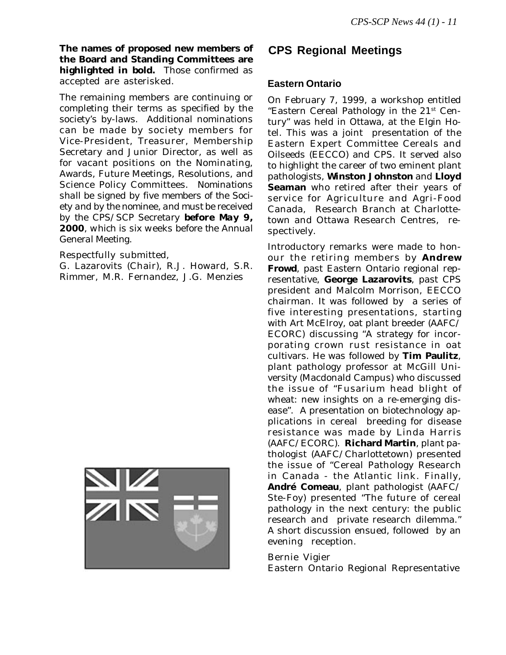**The names of proposed new members of the Board and Standing Committees are highlighted in bold.** Those confirmed as accepted are asterisked.

The remaining members are continuing or completing their terms as specified by the society's by-laws. Additional nominations can be made by society members for Vice-President, Treasurer, Membership Secretary and Junior Director, as well as for vacant positions on the Nominating, Awards, Future Meetings, Resolutions, and Science Policy Committees. *Nominations shall be signed by five members of the Society and by the nominee, and must be received by the CPS/SCP Secretary before May 9, 2000, which is six weeks before the Annual General Meeting.*

Respectfully submitted,

G. Lazarovits (Chair), R.J. Howard, S.R. Rimmer, M.R. Fernandez, J.G. Menzies



## **CPS Regional Meetings**

#### **Eastern Ontario**

On February 7, 1999, a workshop entitled "Eastern Cereal Pathology in the 21st Century" was held in Ottawa, at the Elgin Hotel. This was a joint presentation of the Eastern Expert Committee Cereals and Oilseeds (EECCO) and CPS. It served also to highlight the career of two eminent plant pathologists, **Winston Johnston** and **Lloyd Seaman** who retired after their years of service for Agriculture and Agri-Food Canada, Research Branch at Charlottetown and Ottawa Research Centres, respectively.

Introductory remarks were made to honour the retiring members by **Andrew Frowd**, past Eastern Ontario regional representative, **George Lazarovits**, past CPS president and Malcolm Morrison, EECCO chairman. It was followed by a series of five interesting presentations, starting with Art McElroy, oat plant breeder (AAFC/ ECORC) discussing "A strategy for incorporating crown rust resistance in oat cultivars. He was followed by **Tim Paulitz**, plant pathology professor at McGill University (Macdonald Campus) who discussed the issue of "Fusarium head blight of wheat: new insights on a re-emerging disease". A presentation on biotechnology applications in cereal breeding for disease resistance was made by Linda Harris (AAFC/ECORC). **Richard Martin**, plant pathologist (AAFC/Charlottetown) presented the issue of "Cereal Pathology Research in Canada - the Atlantic link. Finally, **André Comeau**, plant pathologist (AAFC/ Ste-Foy) presented "The future of cereal pathology in the next century: the public research and private research dilemma." A short discussion ensued, followed by an evening reception.

#### Bernie Vigier

Eastern Ontario Regional Representative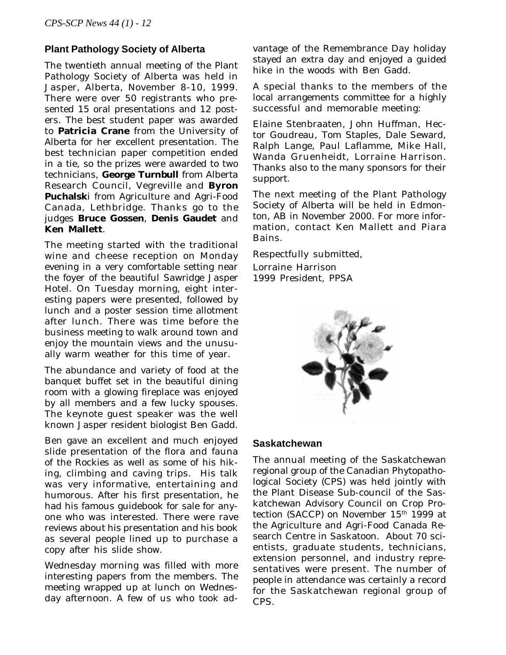#### **Plant Pathology Society of Alberta**

The twentieth annual meeting of the Plant Pathology Society of Alberta was held in Jasper, Alberta, November 8-10, 1999. There were over 50 registrants who presented 15 oral presentations and 12 posters. The best student paper was awarded to **Patricia Crane** from the University of Alberta for her excellent presentation. The best technician paper competition ended in a tie, so the prizes were awarded to two technicians, **George Turnbull** from Alberta Research Council, Vegreville and **Byron Puchalsk**i from Agriculture and Agri-Food Canada, Lethbridge. Thanks go to the judges **Bruce Gossen**, **Denis Gaudet** and **Ken Mallett**.

The meeting started with the traditional wine and cheese reception on Monday evening in a very comfortable setting near the foyer of the beautiful Sawridge Jasper Hotel. On Tuesday morning, eight interesting papers were presented, followed by lunch and a poster session time allotment after lunch. There was time before the business meeting to walk around town and enjoy the mountain views and the unusually warm weather for this time of year.

The abundance and variety of food at the banquet buffet set in the beautiful dining room with a glowing fireplace was enjoyed by all members and a few lucky spouses. The keynote guest speaker was the well known Jasper resident biologist Ben Gadd.

Ben gave an excellent and much enjoyed slide presentation of the flora and fauna of the Rockies as well as some of his hiking, climbing and caving trips. His talk was very informative, entertaining and humorous. After his first presentation, he had his famous guidebook for sale for anyone who was interested. There were rave reviews about his presentation and his book as several people lined up to purchase a copy after his slide show.

Wednesday morning was filled with more interesting papers from the members. The meeting wrapped up at lunch on Wednesday afternoon. A few of us who took advantage of the Remembrance Day holiday stayed an extra day and enjoyed a guided hike in the woods with Ben Gadd.

A special thanks to the members of the local arrangements committee for a highly successful and memorable meeting:

Elaine Stenbraaten, John Huffman, Hector Goudreau, Tom Staples, Dale Seward, Ralph Lange, Paul Laflamme, Mike Hall, Wanda Gruenheidt, Lorraine Harrison. Thanks also to the many sponsors for their support.

The next meeting of the Plant Pathology Society of Alberta will be held in Edmonton, AB in November 2000. For more information, contact Ken Mallett and Piara Bains.

Respectfully submitted, Lorraine Harrison 1999 President, PPSA



#### **Saskatchewan**

The annual meeting of the Saskatchewan regional group of the Canadian Phytopathological Society (CPS) was held jointly with the Plant Disease Sub-council of the Saskatchewan Advisory Council on Crop Protection (SACCP) on November 15<sup>th</sup> 1999 at the Agriculture and Agri-Food Canada Research Centre in Saskatoon. About 70 scientists, graduate students, technicians, extension personnel, and industry representatives were present. The number of people in attendance was certainly a record for the Saskatchewan regional group of CPS.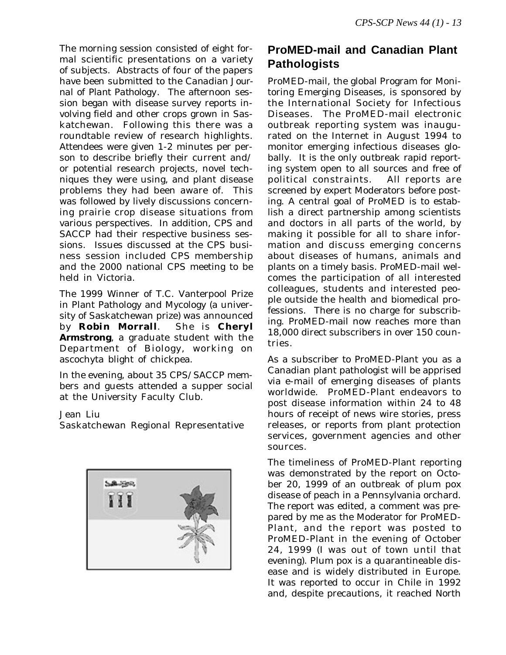The morning session consisted of eight formal scientific presentations on a variety of subjects. Abstracts of four of the papers have been submitted to the *Canadian Journal of Plant Pathology*. The afternoon session began with disease survey reports involving field and other crops grown in Saskatchewan. Following this there was a roundtable review of research highlights. Attendees were given 1-2 minutes per person to describe briefly their current and/ or potential research projects, novel techniques they were using, and plant disease problems they had been aware of. This was followed by lively discussions concerning prairie crop disease situations from various perspectives. In addition, CPS and SACCP had their respective business sessions. Issues discussed at the CPS business session included CPS membership and the 2000 national CPS meeting to be held in Victoria.

The 1999 Winner of T.C. Vanterpool Prize in Plant Pathology and Mycology (a university of Saskatchewan prize) was announced by **Robin Morrall**. She is **Cheryl Armstrong**, a graduate student with the Department of Biology, working on ascochyta blight of chickpea.

In the evening, about 35 CPS/SACCP members and guests attended a supper social at the University Faculty Club.

#### Jean Liu

Saskatchewan Regional Representative



# **ProMED-mail and Canadian Plant Pathologists**

ProMED-mail, the global Program for Monitoring Emerging Diseases, is sponsored by the International Society for Infectious Diseases. The ProMED-mail electronic outbreak reporting system was inaugurated on the Internet in August 1994 to monitor emerging infectious diseases globally. It is the only outbreak rapid reporting system open to all sources and free of political constraints. All reports are screened by expert Moderators before posting. A central goal of ProMED is to establish a direct partnership among scientists and doctors in all parts of the world, by making it possible for all to share information and discuss emerging concerns about diseases of humans, animals and plants on a timely basis. ProMED-mail welcomes the participation of all interested colleagues, students and interested people outside the health and biomedical professions. There is no charge for subscribing. ProMED-mail now reaches more than 18,000 direct subscribers in over 150 countries.

As a subscriber to ProMED-Plant you as a Canadian plant pathologist will be apprised via e-mail of emerging diseases of plants worldwide. ProMED-Plant endeavors to post disease information within 24 to 48 hours of receipt of news wire stories, press releases, or reports from plant protection services, government agencies and other sources.

The timeliness of ProMED-Plant reporting was demonstrated by the report on October 20, 1999 of an outbreak of plum pox disease of peach in a Pennsylvania orchard. The report was edited, a comment was prepared by me as the Moderator for ProMED-Plant, and the report was posted to ProMED-Plant in the evening of October 24, 1999 (I was out of town until that evening). Plum pox is a quarantineable disease and is widely distributed in Europe. It was reported to occur in Chile in 1992 and, despite precautions, it reached North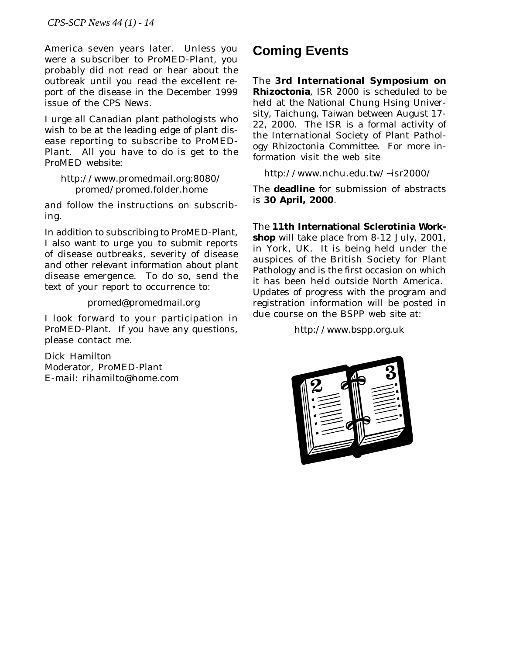America seven years later. Unless you were a subscriber to ProMED-Plant, you probably did not read or hear about the outbreak until you read the excellent report of the disease in the December 1999 issue of the *CPS News*.

I urge all Canadian plant pathologists who wish to be at the leading edge of plant disease reporting to subscribe to ProMED-Plant. All you have to do is get to the ProMED website:

http://www.promedmail.org:8080/ promed/promed.folder.home

and follow the instructions on subscribing.

In addition to subscribing to ProMED-Plant, I also want to urge you to submit reports of disease outbreaks, severity of disease and other relevant information about plant disease emergence. To do so, send the text of your report to occurrence to:

promed@promedmail.org

I look forward to your participation in ProMED-Plant. If you have any questions, please contact me.

Dick Hamilton Moderator, ProMED-Plant E-mail: rihamilto@home.com

# **Coming Events**

The **3rd International Symposium on Rhizoctonia**, ISR 2000 is scheduled to be held at the National Chung Hsing University, Taichung, Taiwan between August 17- 22, 2000. The ISR is a formal activity of the International Society of Plant Pathology Rhizoctonia Committee. For more information visit the web site

http://www.nchu.edu.tw/~isr2000/

The **deadline** for submission of abstracts is **30 April, 2000**.

The **11th International Sclerotinia Workshop** will take place from 8-12 July, 2001, in York, UK. It is being held under the auspices of the British Society for Plant Pathology and is the first occasion on which it has been held outside North America. Updates of progress with the program and registration information will be posted in due course on the BSPP web site at:

http://www.bspp.org.uk

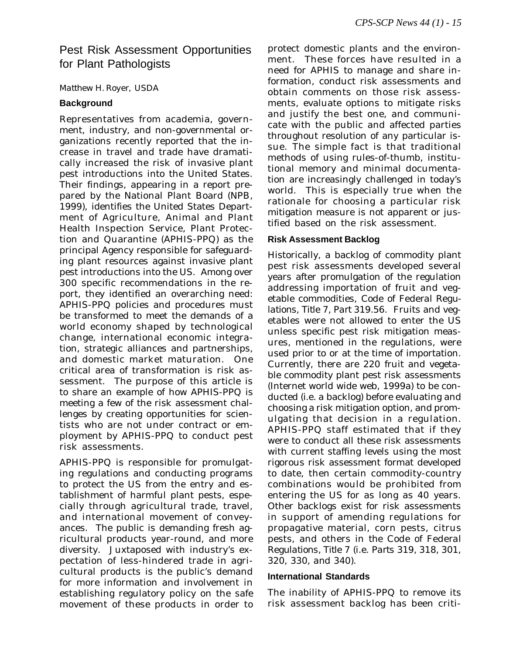## Pest Risk Assessment Opportunities for Plant Pathologists

#### *Matthew H. Royer,* USDA

#### **Background**

Representatives from academia, government, industry, and non-governmental organizations recently reported that the increase in travel and trade have dramatically increased the risk of invasive plant pest introductions into the United States. Their findings, appearing in a report prepared by the National Plant Board (NPB, 1999), identifies the United States Department of Agriculture, Animal and Plant Health Inspection Service, Plant Protection and Quarantine (APHIS-PPQ) as the principal Agency responsible for safeguarding plant resources against invasive plant pest introductions into the US. Among over 300 specific recommendations in the report, they identified an overarching need: APHIS-PPQ policies and procedures must be transformed to meet the demands of a world economy shaped by technological change, international economic integration, strategic alliances and partnerships, and domestic market maturation. One critical area of transformation is risk assessment. The purpose of this article is to share an example of how APHIS-PPQ is meeting a few of the risk assessment challenges by creating opportunities for scientists who are not under contract or employment by APHIS-PPQ to conduct pest risk assessments.

APHIS-PPQ is responsible for promulgating regulations and conducting programs to protect the US from the entry and establishment of harmful plant pests, especially through agricultural trade, travel, and international movement of conveyances. The public is demanding fresh agricultural products year-round, and more diversity. Juxtaposed with industry's expectation of less-hindered trade in agricultural products is the public's demand for more information and involvement in establishing regulatory policy on the safe movement of these products in order to

protect domestic plants and the environment. These forces have resulted in a need for APHIS to manage and share information, conduct risk assessments and obtain comments on those risk assessments, evaluate options to mitigate risks and justify the best one, and communicate with the public and affected parties throughout resolution of any particular issue. The simple fact is that traditional methods of using rules-of-thumb, institutional memory and minimal documentation are increasingly challenged in today's world. This is especially true when the rationale for choosing a particular risk mitigation measure is not apparent or justified based on the risk assessment.

#### **Risk Assessment Backlog**

Historically, a backlog of commodity plant pest risk assessments developed several years after promulgation of the regulation addressing importation of fruit and vegetable commodities, *Code of Federal Regulations, Title 7, Part 319.56*. Fruits and vegetables were not allowed to enter the US unless specific pest risk mitigation measures, mentioned in the regulations, were used prior to or at the time of importation. Currently, there are 220 fruit and vegetable commodity plant pest risk assessments (Internet world wide web, 1999a) to be conducted (*i.e.* a backlog) before evaluating and choosing a risk mitigation option, and promulgating that decision in a regulation. APHIS-PPQ staff estimated that if they were to conduct all these risk assessments with current staffing levels using the most rigorous risk assessment format developed to date, then certain commodity-country combinations would be prohibited from entering the US for as long as 40 years. Other backlogs exist for risk assessments in support of amending regulations for propagative material, corn pests, citrus pests, and others in *the Code of Federal Regulations, Title 7* (i.e. *Parts 319, 318, 301, 320, 330, and 340*).

#### **International Standards**

The inability of APHIS-PPQ to remove its risk assessment backlog has been criti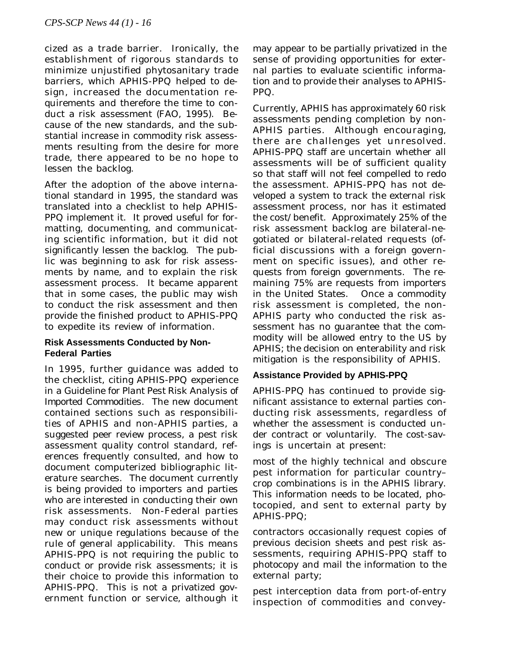cized as a trade barrier. Ironically, the establishment of rigorous standards to minimize unjustified phytosanitary trade barriers, which APHIS-PPQ helped to design, increased the documentation requirements and therefore the time to conduct a risk assessment (FAO, 1995). Because of the new standards, and the substantial increase in commodity risk assessments resulting from the desire for more trade, there appeared to be no hope to lessen the backlog.

After the adoption of the above international standard in 1995, the standard was translated into a checklist to help APHIS-PPQ implement it. It proved useful for formatting, documenting, and communicating scientific information, but it did not significantly lessen the backlog. The public was beginning to ask for risk assessments by name, and to explain the risk assessment process. It became apparent that in some cases, the public may wish to conduct the risk assessment and then provide the finished product to APHIS-PPQ to expedite its review of information.

#### **Risk Assessments Conducted by Non-Federal Parties**

In 1995, further guidance was added to the checklist, citing APHIS-PPQ experience in a *Guideline for Plant Pest Risk Analysis of Imported Commodities.* The new document contained sections such as responsibilities of APHIS and non-APHIS parties, a suggested peer review process, a pest risk assessment quality control standard, references frequently consulted, and how to document computerized bibliographic literature searches. The document currently is being provided to importers and parties who are interested in conducting their own risk assessments. Non-Federal parties may conduct risk assessments without new or unique regulations because of the rule of general applicability. This means APHIS-PPQ is not requiring the public to conduct or provide risk assessments; it is their choice to provide this information to APHIS-PPQ. This is not a privatized government function or service, although it

may appear to be partially privatized in the sense of providing opportunities for external parties to evaluate scientific information and to provide their analyses to APHIS-PPQ.

Currently, APHIS has approximately 60 risk assessments pending completion by non-APHIS parties. Although encouraging, there are challenges yet unresolved. APHIS-PPQ staff are uncertain whether all assessments will be of sufficient quality so that staff will not feel compelled to redo the assessment. APHIS-PPQ has not developed a system to track the external risk assessment process, nor has it estimated the cost/benefit. Approximately 25% of the risk assessment backlog are bilateral-negotiated or bilateral-related requests (official discussions with a foreign government on specific issues), and other requests from foreign governments. The remaining 75% are requests from importers in the United States. Once a commodity risk assessment is completed, the non-APHIS party who conducted the risk assessment has no guarantee that the commodity will be allowed entry to the US by APHIS; the decision on enterability and risk mitigation is the responsibility of APHIS.

#### **Assistance Provided by APHIS-PPQ**

APHIS-PPQ has continued to provide significant assistance to external parties conducting risk assessments, regardless of whether the assessment is conducted under contract or voluntarily. The cost-savings is uncertain at present:

most of the highly technical and obscure pest information for particular country– crop combinations is in the APHIS library. This information needs to be located, photocopied, and sent to external party by APHIS-PPQ;

contractors occasionally request copies of previous decision sheets and pest risk assessments, requiring APHIS-PPQ staff to photocopy and mail the information to the external party;

pest interception data from port-of-entry inspection of commodities and convey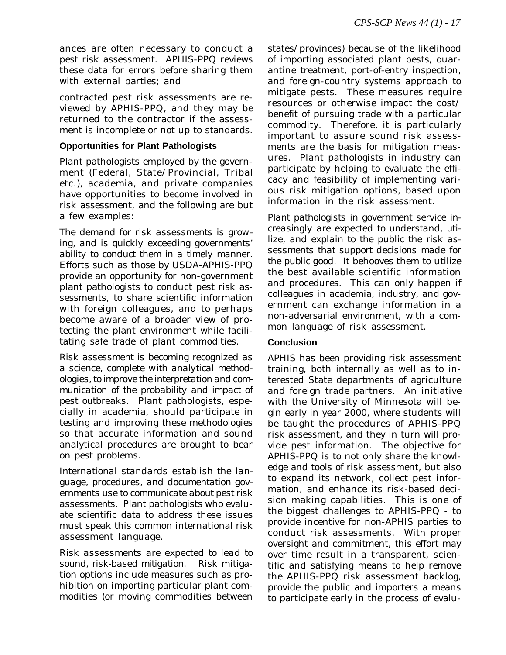ances are often necessary to conduct a pest risk assessment. APHIS-PPQ reviews these data for errors before sharing them with external parties; and

contracted pest risk assessments are reviewed by APHIS-PPQ, and they may be returned to the contractor if the assessment is incomplete or not up to standards.

#### **Opportunities for Plant Pathologists**

Plant pathologists employed by the government (Federal, State/Provincial, Tribal etc.), academia, and private companies have opportunities to become involved in risk assessment, and the following are but a few examples:

*The demand for risk assessments is growing, and is quickly exceeding governments' ability to conduct them in a timely manner*. Efforts such as those by USDA-APHIS-PPQ provide an opportunity for non-government plant pathologists to conduct pest risk assessments, to share scientific information with foreign colleagues, and to perhaps become aware of a broader view of protecting the plant environment while facilitating safe trade of plant commodities.

*Risk assessment is becoming recognized as a science, complete with analytical methodologies, to improve the interpretation and communication of the probability and impact of pest outbreaks*. Plant pathologists, especially in academia, should participate in testing and improving these methodologies so that accurate information and sound analytical procedures are brought to bear on pest problems.

*International standards establish the language, procedures, and documentation governments use to communicate about pest risk assessments*. Plant pathologists who evaluate scientific data to address these issues must speak this common international risk assessment language.

*Risk assessments are expected to lead to sound, risk-based mitigation*. Risk mitigation options include measures such as prohibition on importing particular plant commodities (or moving commodities between

states/provinces) because of the likelihood of importing associated plant pests, quarantine treatment, port-of-entry inspection, and foreign-country systems approach to mitigate pests. These measures require resources or otherwise impact the cost/ benefit of pursuing trade with a particular commodity. Therefore, it is particularly important to assure sound risk assessments are the basis for mitigation measures. Plant pathologists in industry can participate by helping to evaluate the efficacy and feasibility of implementing various risk mitigation options, based upon information in the risk assessment.

*Plant pathologists in government service increasingly are expected to understand, utilize, and explain to the public the risk assessments that support decisions made for the public good*. It behooves them to utilize the best available scientific information and procedures. This can only happen if colleagues in academia, industry, and government can exchange information in a non-adversarial environment, with a common language of risk assessment.

#### **Conclusion**

APHIS has been providing risk assessment training, both internally as well as to interested State departments of agriculture and foreign trade partners. An initiative with the University of Minnesota will begin early in year 2000, where students will be taught the procedures of APHIS-PPQ risk assessment, and they in turn will provide pest information. The objective for APHIS-PPQ is to not only share the knowledge and tools of risk assessment, but also to expand its network, collect pest information, and enhance its risk-based decision making capabilities. This is one of the biggest challenges to APHIS-PPQ - to provide incentive for non-APHIS parties to conduct risk assessments. With proper oversight and commitment, this effort may over time result in a transparent, scientific and satisfying means to help remove the APHIS-PPQ risk assessment backlog, provide the public and importers a means to participate early in the process of evalu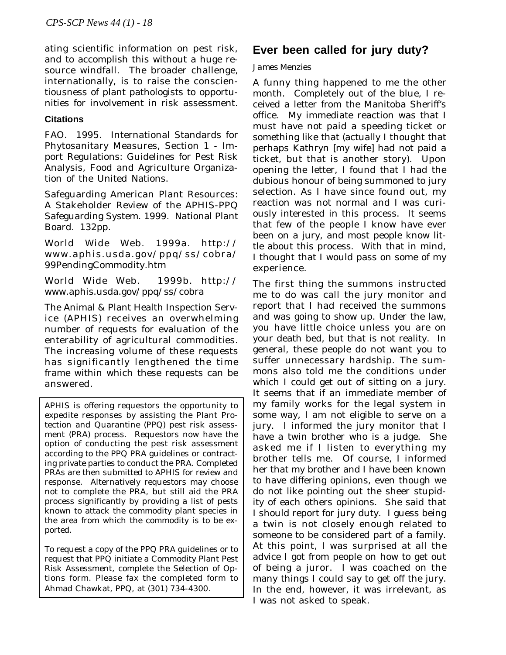ating scientific information on pest risk, and to accomplish this without a huge resource windfall. The broader challenge, internationally, is to raise the conscientiousness of plant pathologists to opportunities for involvement in risk assessment.

#### **Citations**

FAO. 1995. International Standards for Phytosanitary Measures, Section 1 - Import Regulations: Guidelines for Pest Risk Analysis, Food and Agriculture Organization of the United Nations.

Safeguarding American Plant Resources: A Stakeholder Review of the APHIS-PPQ Safeguarding System. 1999. National Plant Board. 132pp.

World Wide Web. 1999a. http:// www.aphis.usda.gov/ppq/ss/cobra/ 99PendingCommodity.htm

World Wide Web. 1999b. http:// www.aphis.usda.gov/ppq/ss/cobra

The Animal & Plant Health Inspection Service (APHIS) receives an overwhelming number of requests for evaluation of the enterability of agricultural commodities. The increasing volume of these requests has significantly lengthened the time frame within which these requests can be answered.

APHIS is offering requestors the opportunity to expedite responses by assisting the Plant Protection and Quarantine (PPQ) pest risk assessment (PRA) process. Requestors now have the option of conducting the pest risk assessment according to the PPQ PRA guidelines or contracting private parties to conduct the PRA. Completed PRAs are then submitted to APHIS for review and response. Alternatively requestors may choose not to complete the PRA, but still aid the PRA process significantly by providing a list of pests known to attack the commodity plant species in the area from which the commodity is to be exported.

To request a copy of the PPQ PRA guidelines or to request that PPQ initiate a Commodity Plant Pest Risk Assessment, complete the Selection of Options form. Please fax the completed form to Ahmad Chawkat, PPQ, at (301) 734-4300.

## **Ever been called for jury duty?**

#### *James Menzies*

A funny thing happened to me the other month. Completely out of the blue, I received a letter from the Manitoba Sheriff's office. My immediate reaction was that I must have not paid a speeding ticket or something like that (actually I thought that perhaps Kathryn [my wife] had not paid a ticket, but that is another story). Upon opening the letter, I found that I had the dubious honour of being summoned to jury selection. As I have since found out, my reaction was not normal and I was curiously interested in this process. It seems that few of the people I know have ever been on a jury, and most people know little about this process. With that in mind, I thought that I would pass on some of my experience.

The first thing the summons instructed me to do was call the jury monitor and report that I had received the summons and was going to show up. Under the law, you have little choice unless you are on your death bed, but that is not reality. In general, these people do not want you to suffer unnecessary hardship. The summons also told me the conditions under which I could get out of sitting on a jury. It seems that if an immediate member of my family works for the legal system in some way, I am not eligible to serve on a jury. I informed the jury monitor that I have a twin brother who is a judge. She asked me if I listen to everything my brother tells me. Of course, I informed her that my brother and I have been known to have differing opinions, even though we do not like pointing out the sheer stupidity of each others opinions. She said that I should report for jury duty. I guess being a twin is not closely enough related to someone to be considered part of a family. At this point, I was surprised at all the advice I got from people on how to get out of being a juror. I was coached on the many things I could say to get off the jury. In the end, however, it was irrelevant, as I was not asked to speak.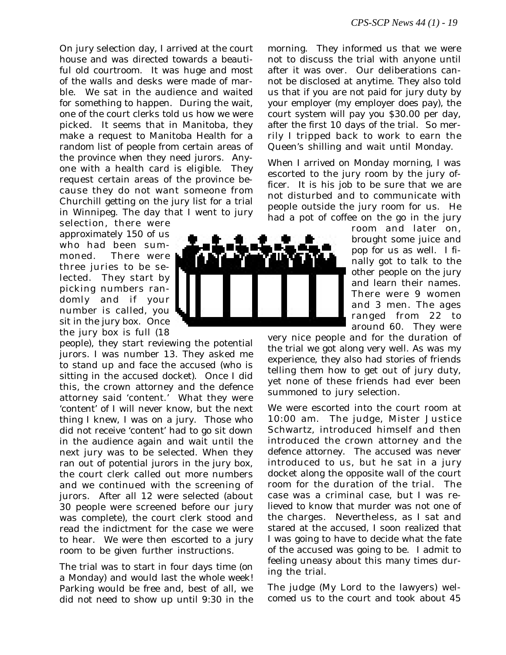On jury selection day, I arrived at the court house and was directed towards a beautiful old courtroom. It was huge and most of the walls and desks were made of marble. We sat in the audience and waited for something to happen. During the wait, one of the court clerks told us how we were picked. It seems that in Manitoba, they make a request to Manitoba Health for a random list of people from certain areas of the province when they need jurors. Anyone with a health card is eligible. They request certain areas of the province because they do not want someone from Churchill getting on the jury list for a trial in Winnipeg. The day that I went to jury

selection, there were approximately 150 of us who had been summoned. There were three juries to be selected. They start by picking numbers randomly and if your number is called, you sit in the jury box. Once the jury box is full (18

people), they start reviewing the potential jurors. I was number 13. They asked me to stand up and face the accused (who is sitting in the accused docket). Once I did this, the crown attorney and the defence attorney said 'content.' What they were 'content' of I will never know, but the next thing I knew, I was on a jury. Those who did not receive 'content' had to go sit down in the audience again and wait until the next jury was to be selected. When they ran out of potential jurors in the jury box, the court clerk called out more numbers and we continued with the screening of jurors. After all 12 were selected (about 30 people were screened before our jury was complete), the court clerk stood and read the indictment for the case we were to hear. We were then escorted to a jury room to be given further instructions.

The trial was to start in four days time (on a Monday) and would last the whole week! Parking would be free and, best of all, we did not need to show up until 9:30 in the



morning. They informed us that we were not to discuss the trial with anyone until after it was over. Our deliberations cannot be disclosed at anytime. They also told us that if you are not paid for jury duty by your employer (my employer does pay), the court system will pay you \$30.00 per day, after the first 10 days of the trial. So merrily I tripped back to work to earn the Queen's shilling and wait until Monday.

When I arrived on Monday morning, I was escorted to the jury room by the jury officer. It is his job to be sure that we are not disturbed and to communicate with people outside the jury room for us. He had a pot of coffee on the go in the jury

> room and later on, brought some juice and pop for us as well. I finally got to talk to the other people on the jury and learn their names. There were 9 women and 3 men. The ages ranged from 22 to around 60. They were

very nice people and for the duration of the trial we got along very well. As was my experience, they also had stories of friends telling them how to get out of jury duty, yet none of these friends had ever been summoned to jury selection.

We were escorted into the court room at 10:00 am. The judge, Mister Justice Schwartz, introduced himself and then introduced the crown attorney and the defence attorney. The accused was never introduced to us, but he sat in a jury docket along the opposite wall of the court room for the duration of the trial. The case was a criminal case, but I was relieved to know that murder was not one of the charges. Nevertheless, as I sat and stared at the accused, I soon realized that I was going to have to decide what the fate of the accused was going to be. I admit to feeling uneasy about this many times during the trial.

The judge (My Lord to the lawyers) welcomed us to the court and took about 45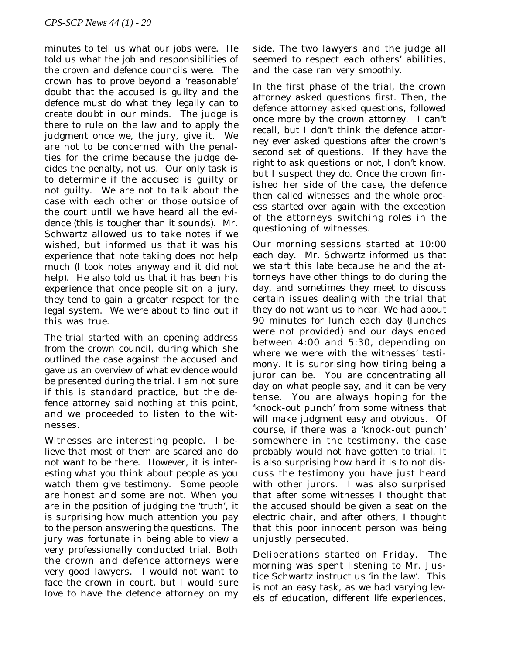minutes to tell us what our jobs were. He told us what the job and responsibilities of the crown and defence councils were. The crown has to prove beyond a 'reasonable' doubt that the accused is guilty and the defence must do what they legally can to create doubt in our minds. The judge is there to rule on the law and to apply the judgment once we, the jury, give it. We are not to be concerned with the penalties for the crime because the judge decides the penalty, not us. Our only task is to determine if the accused is guilty or not guilty. We are not to talk about the case with each other or those outside of the court until we have heard all the evidence (this is tougher than it sounds). Mr. Schwartz allowed us to take notes if we wished, but informed us that it was his experience that note taking does not help much (I took notes anyway and it did not help). He also told us that it has been his experience that once people sit on a jury, they tend to gain a greater respect for the legal system. We were about to find out if this was true.

The trial started with an opening address from the crown council, during which she outlined the case against the accused and gave us an overview of what evidence would be presented during the trial. I am not sure if this is standard practice, but the defence attorney said nothing at this point, and we proceeded to listen to the witnesses.

Witnesses are interesting people. I believe that most of them are scared and do not want to be there. However, it is interesting what you think about people as you watch them give testimony. Some people are honest and some are not. When you are in the position of judging the 'truth', it is surprising how much attention you pay to the person answering the questions. The jury was fortunate in being able to view a very professionally conducted trial. Both the crown and defence attorneys were very good lawyers. I would not want to face the crown in court, but I would sure love to have the defence attorney on my side. The two lawyers and the judge all seemed to respect each others' abilities, and the case ran very smoothly.

In the first phase of the trial, the crown attorney asked questions first. Then, the defence attorney asked questions, followed once more by the crown attorney. I can't recall, but I don't think the defence attorney ever asked questions after the crown's second set of questions. If they have the right to ask questions or not, I don't know, but I suspect they do. Once the crown finished her side of the case, the defence then called witnesses and the whole process started over again with the exception of the attorneys switching roles in the questioning of witnesses.

Our morning sessions started at 10:00 each day. Mr. Schwartz informed us that we start this late because he and the attorneys have other things to do during the day, and sometimes they meet to discuss certain issues dealing with the trial that they do not want us to hear. We had about 90 minutes for lunch each day (lunches were not provided) and our days ended between 4:00 and 5:30, depending on where we were with the witnesses' testimony. It is surprising how tiring being a juror can be. You are concentrating all day on what people say, and it can be very tense. You are always hoping for the 'knock-out punch' from some witness that will make judgment easy and obvious. Of course, if there was a 'knock-out punch' somewhere in the testimony, the case probably would not have gotten to trial. It is also surprising how hard it is to not discuss the testimony you have just heard with other jurors. I was also surprised that after some witnesses I thought that the accused should be given a seat on the electric chair, and after others, I thought that this poor innocent person was being unjustly persecuted.

Deliberations started on Friday. The morning was spent listening to Mr. Justice Schwartz instruct us 'in the law'. This is not an easy task, as we had varying levels of education, different life experiences,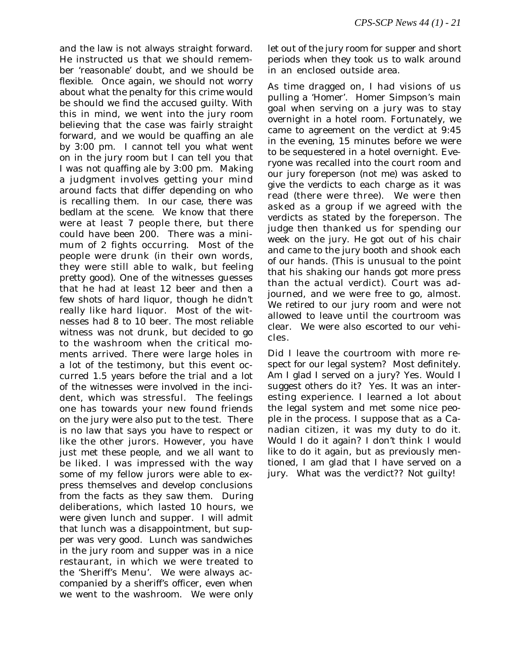and the law is not always straight forward. He instructed us that we should remember 'reasonable' doubt, and we should be flexible. Once again, we should not worry about what the penalty for this crime would be should we find the accused guilty. With this in mind, we went into the jury room believing that the case was fairly straight forward, and we would be quaffing an ale by 3:00 pm. I cannot tell you what went on in the jury room but I can tell you that I was not quaffing ale by 3:00 pm. Making a judgment involves getting your mind around facts that differ depending on who is recalling them. In our case, there was bedlam at the scene. We know that there were at least 7 people there, but there could have been 200. There was a minimum of 2 fights occurring. Most of the people were drunk (in their own words, they were still able to walk, but feeling pretty good). One of the witnesses guesses that he had at least 12 beer and then a few shots of hard liquor, though he didn't really like hard liquor. Most of the witnesses had 8 to 10 beer. The most reliable witness was not drunk, but decided to go to the washroom when the critical moments arrived. There were large holes in a lot of the testimony, but this event occurred 1.5 years before the trial and a lot of the witnesses were involved in the incident, which was stressful. The feelings one has towards your new found friends on the jury were also put to the test. There is no law that says you have to respect or like the other jurors. However, you have just met these people, and we all want to be liked. I was impressed with the way some of my fellow jurors were able to express themselves and develop conclusions from the facts as they saw them. During deliberations, which lasted 10 hours, we were given lunch and supper. I will admit that lunch was a disappointment, but supper was very good. Lunch was sandwiches in the jury room and supper was in a nice restaurant, in which we were treated to the 'Sheriff's Menu'. We were always accompanied by a sheriff's officer, even when we went to the washroom. We were only

let out of the jury room for supper and short periods when they took us to walk around in an enclosed outside area.

As time dragged on, I had visions of us pulling a 'Homer'. Homer Simpson's main goal when serving on a jury was to stay overnight in a hotel room. Fortunately, we came to agreement on the verdict at 9:45 in the evening, 15 minutes before we were to be sequestered in a hotel overnight. Everyone was recalled into the court room and our jury foreperson (not me) was asked to give the verdicts to each charge as it was read (there were three). We were then asked as a group if we agreed with the verdicts as stated by the foreperson. The judge then thanked us for spending our week on the jury. He got out of his chair and came to the jury booth and shook each of our hands. (This is unusual to the point that his shaking our hands got more press than the actual verdict). Court was adjourned, and we were free to go, almost. We retired to our jury room and were not allowed to leave until the courtroom was clear. We were also escorted to our vehicles.

Did I leave the courtroom with more respect for our legal system? Most definitely. Am I glad I served on a jury? Yes. Would I suggest others do it? Yes. It was an interesting experience. I learned a lot about the legal system and met some nice people in the process. I suppose that as a Canadian citizen, it was my duty to do it. Would I do it again? I don't think I would like to do it again, but as previously mentioned, I am glad that I have served on a jury. What was the verdict?? Not guilty!